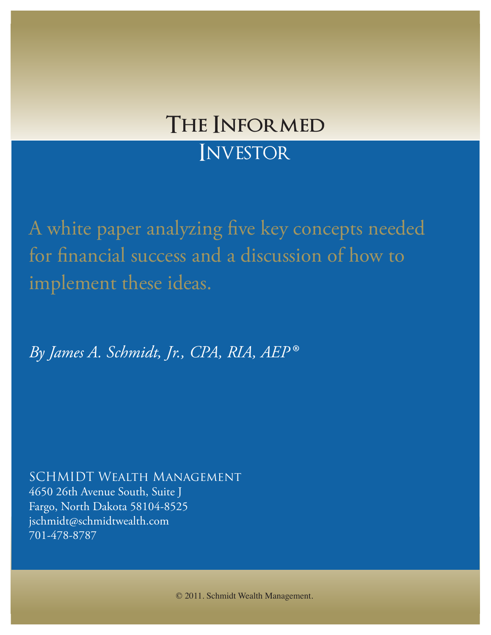# **The Informed**

# **INVESTOR**

A white paper analyzing five key concepts needed for financial success and a discussion of how to implement these ideas.

*By James A. Schmidt, Jr., CPA, RIA, AEP®*

SCHMIDT Wealth Management 4650 26th Avenue South, Suite J Fargo, North Dakota 58104-8525 jschmidt@schmidtwealth.com 701-478-8787

© 2011. Schmidt Wealth Management.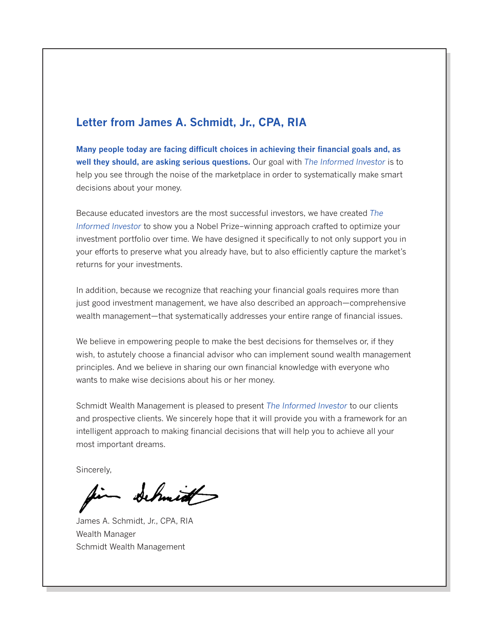## **Letter from James A. Schmidt, Jr., CPA, RIA**

**Many people today are facing difficult choices in achieving their financial goals and, as well they should, are asking serious questions.** Our goal with *The Informed Investor* is to help you see through the noise of the marketplace in order to systematically make smart decisions about your money.

Because educated investors are the most successful investors, we have created *The Informed Investor* to show you a Nobel Prize–winning approach crafted to optimize your investment portfolio over time. We have designed it specifically to not only support you in your efforts to preserve what you already have, but to also efficiently capture the market's returns for your investments.

In addition, because we recognize that reaching your financial goals requires more than just good investment management, we have also described an approach—comprehensive wealth management—that systematically addresses your entire range of financial issues.

We believe in empowering people to make the best decisions for themselves or, if they wish, to astutely choose a financial advisor who can implement sound wealth management principles. And we believe in sharing our own financial knowledge with everyone who wants to make wise decisions about his or her money.

Schmidt Wealth Management is pleased to present *The Informed Investor* to our clients and prospective clients. We sincerely hope that it will provide you with a framework for an intelligent approach to making financial decisions that will help you to achieve all your most important dreams.

Sincerely,

James A. Schmidt Jr.

James A. Schmidt, Jr., CPA, RIA Wealth Manager Schmidt Wealth Management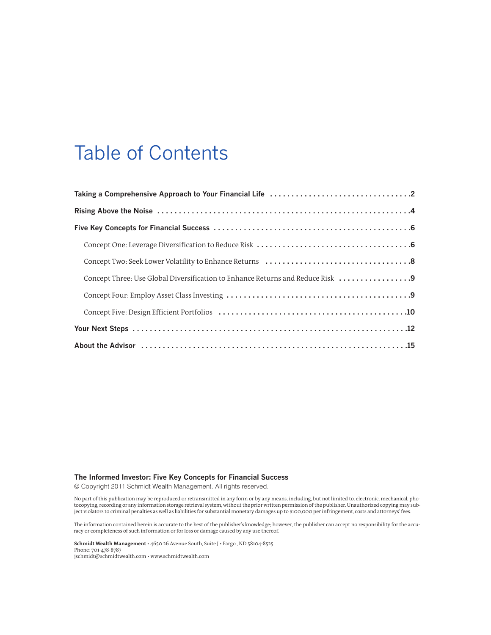## Table of Contents

| Concept Three: Use Global Diversification to Enhance Returns and Reduce Risk |
|------------------------------------------------------------------------------|
|                                                                              |
|                                                                              |
|                                                                              |
|                                                                              |

### **The Informed Investor: Five Key Concepts for Financial Success**

© Copyright 2011 Schmidt Wealth Management. All rights reserved.

No part of this publication may be reproduced or retransmitted in any form or by any means, including, but not limited to, electronic, mechanical, pho-<br>tocopying, recording or any information storage retrieval system, with ject violators to criminal penalties as well as liabilities for substantial monetary damages up to \$100,000 perinfringement, costs and attorneys'fees.

The information contained herein is accurate to the best of the publisher's knowledge; however, the publisher can accept no responsibility for the accuracy or completeness of such information or for loss or damage caused by any use thereof.

**Schmidt Wealth Management** • 4650 26 Avenue South, Suite J • Fargo , ND 58104-8525 Phone: 701-478-8787 jschmidt@schmidtwealth.com • www.schmidtwealth.com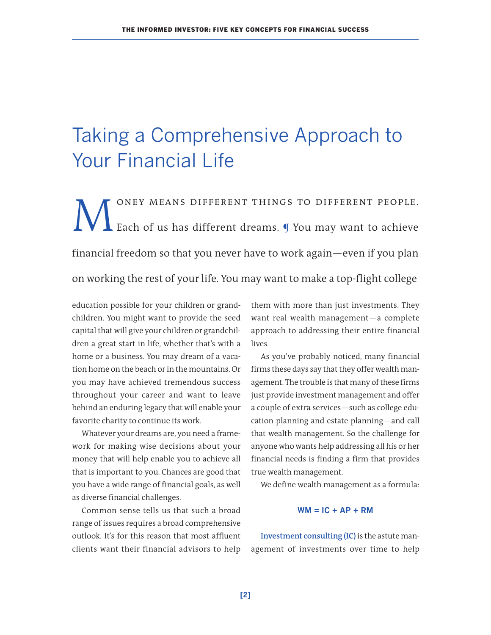# Taking a Comprehensive Approach to Your Financial Life

MONEY MEANS DIFFERENT THINGS TO DIFFERENT PEOPLE.<br>Each of us has different dreams. I You may want to achieve Each of us has different dreams. ¶ You may want to achieve financial freedom so that you never have to work again—even if you plan on working the rest of your life. You may want to make a top-flight college

education possible for your children or grandchildren. You might want to provide the seed capital that will give your children or grandchildren a great start in life, whether that's with a home or a business. You may dream of a vacation home on the beach or in the mountains. Or you may have achieved tremendous success throughout your career and want to leave behind an enduring legacy that will enable your favorite charity to continue its work.

Whatever your dreams are, you need a framework for making wise decisions about your money that will help enable you to achieve all that is important to you. Chances are good that you have a wide range of financial goals, as well as diverse financial challenges.

Common sense tells us that such a broad range of issues requires a broad comprehensive outlook. It's for this reason that most affluent clients want their financial advisors to help

them with more than just investments. They want real wealth management—a complete approach to addressing their entire financial lives.

As you've probably noticed, many financial firms these days say that they offer wealth management. The trouble is that many of these firms just provide investment management and offer a couple of extra services—such as college education planning and estate planning—and call that wealth management. So the challenge for anyone who wants help addressing all his or her financial needs is finding a firm that provides true wealth management.

We define wealth management as a formula:

#### $WM = IC + AP + RM$

**Investment consulting (IC)** is the astute management of investments over time to help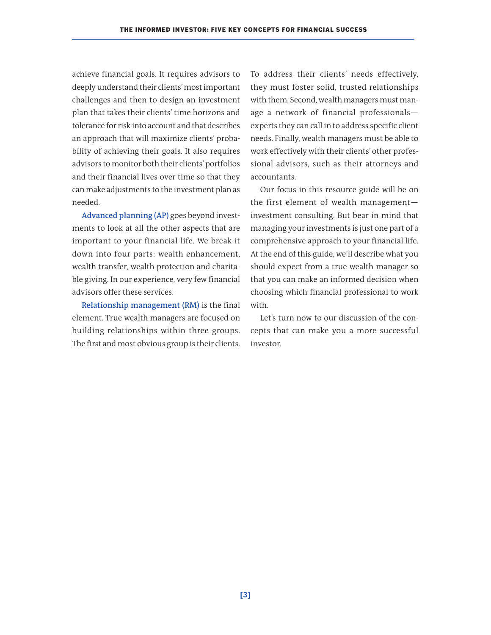achieve financial goals. It requires advisors to deeply understand their clients'mostimportant challenges and then to design an investment plan that takes their clients' time horizons and tolerance forrisk into account and that describes an approach that will maximize clients' probability of achieving their goals. It also requires advisors to monitor both their clients'portfolios and their financial lives over time so that they can make adjustments to the investment plan as needed.

**Advanced planning (AP)** goes beyond investments to look at all the other aspects that are important to your financial life. We break it down into four parts: wealth enhancement, wealth transfer, wealth protection and charitable giving. In our experience, very few financial advisors offer these services.

**Relationship management (RM)** is the final element. True wealth managers are focused on building relationships within three groups. The first and most obvious group is their clients.

To address their clients' needs effectively, they must foster solid, trusted relationships with them. Second, wealth managers must manage a network of financial professionals experts they can call in to address specific client needs. Finally, wealth managers must be able to work effectively with their clients' other professional advisors, such as their attorneys and accountants.

Our focus in this resource guide will be on the first element of wealth management investment consulting. But bear in mind that managing your investments is just one part of a comprehensive approach to your financial life. At the end of this guide, we'll describe what you should expect from a true wealth manager so that you can make an informed decision when choosing which financial professional to work with.

Let's turn now to our discussion of the concepts that can make you a more successful investor.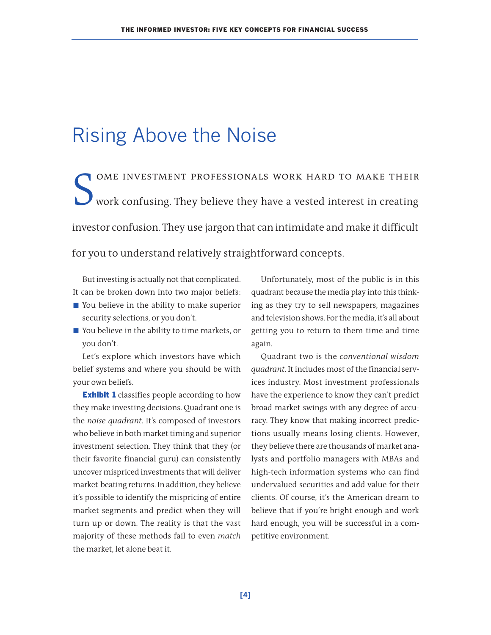# Rising Above the Noise

S ome investment professionals work hard to make their work confusing. They believe they have a vested interest in creating investor confusion. They use jargon that can intimidate and make it difficult for you to understand relatively straightforward concepts.

But investing is actually not that complicated. It can be broken down into two major beliefs:

- You believe in the ability to make superior security selections, or you don't.
- You believe in the ability to time markets, or you don't.

Let's explore which investors have which belief systems and where you should be with your own beliefs.

**Exhibit 1** classifies people according to how they make investing decisions. Quadrant one is the *noise quadrant*. It's composed of investors who believe in both market timing and superior investment selection. They think that they (or their favorite financial guru) can consistently uncover mispriced investments that will deliver market-beating returns. In addition, they believe it's possible to identify the mispricing of entire market segments and predict when they will turn up or down. The reality is that the vast majority of these methods fail to even *match* the market, let alone beat it.

Unfortunately, most of the public is in this quadrant because the media play into this thinking as they try to sell newspapers, magazines and television shows. Forthe media, it's all about getting you to return to them time and time again.

Quadrant two is the *conventional wisdom* quadrant. It includes most of the financial services industry. Most investment professionals have the experience to know they can't predict broad market swings with any degree of accuracy. They know that making incorrect predictions usually means losing clients. However, they believe there are thousands of market analysts and portfolio managers with MBAs and high-tech information systems who can find undervalued securities and add value for their clients. Of course, it's the American dream to believe that if you're bright enough and work hard enough, you will be successful in a competitive environment.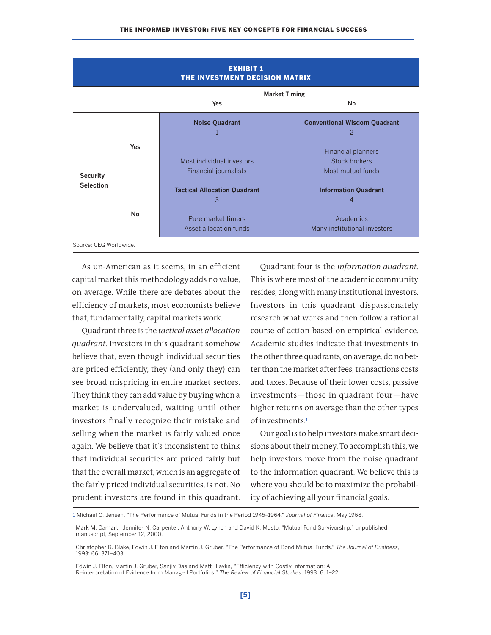## **EXHIBIT 1 THE INVESTMENT DECISION MATRIX Market Timing Yes No Noise Quadrant Conventional Wisdom Quadrant**  $1$  and  $2$ **Yes** Financial planners Most individual investors Most individual investors and stock brokers **Security Example 20** Financial journalists **Most mutual funds Security Most mutual funds Selection Tactical Allocation Quadrant Information Quadrant** 3 4 **No** Pure market timers **Academics** Academics Asset allocation funds Many institutional investors Source: CEG Worldwide.

As un-American as it seems, in an efficient capital market this methodology adds no value, on average. While there are debates about the efficiency of markets, most economists believe that, fundamentally, capital markets work.

Quadrantthree is the *tactical asset allocation quadrant*. Investors in this quadrant somehow believe that, even though individual securities are priced efficiently, they (and only they) can see broad mispricing in entire market sectors. They think they can add value by buying when a market is undervalued, waiting until other investors finally recognize their mistake and selling when the market is fairly valued once again. We believe that it's inconsistent to think that individual securities are priced fairly but that the overall market, which is an aggregate of the fairly priced individual securities, is not. No prudent investors are found in this quadrant.

Quadrant four is the *information quadrant*. This is where most of the academic community resides, along with many institutional investors. Investors in this quadrant dispassionately research what works and then follow a rational course of action based on empirical evidence. Academic studies indicate that investments in the other three quadrants, on average, do no better than the market after fees, transactions costs and taxes. Because of their lower costs, passive investments—those in quadrant four—have higher returns on average than the other types of investments. 1

Our goal is to help investors make smart decisions about their money. To accomplish this, we help investors move from the noise quadrant to the information quadrant. We believe this is where you should be to maximize the probability of achieving all your financial goals.

Edwin J. Elton, Martin J. Gruber, Sanjiv Das and Matt Hlavka, "Efficiency with Costly Information: A Reinterpretation of Evidence from Managed Portfolios," *The Review of Financial Studies*, 1993: 6, 1–22.

<sup>1</sup> Michael C. Jensen, "The Performance of Mutual Funds in the Period 1945–1964," *Journal of Finance*, May 1968.

Mark M. Carhart, Jennifer N. Carpenter, Anthony W. Lynch and David K. Musto, "Mutual Fund Survivorship," unpublished manuscript, September 12, 2000.

Christopher R. Blake, Edwin J. Elton and Martin J. Gruber, "The Performance of Bond Mutual Funds," *The Journal of Business*, 1993: 66, 371–403.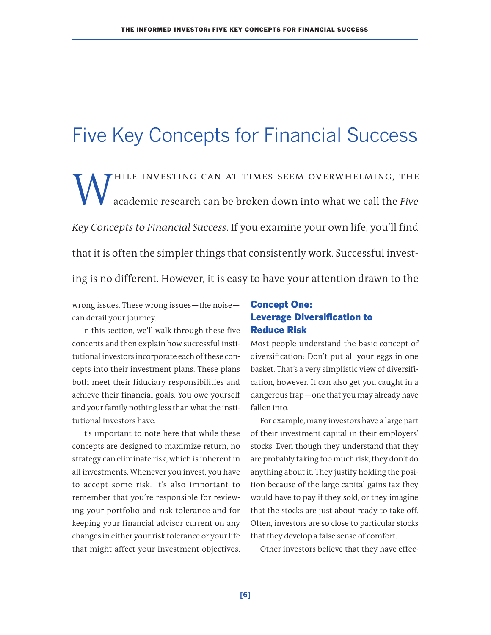# Five Key Concepts for Financial Success

WHILE INVESTING CAN AT TIMES SEEM OVERWHELMING, THE academic research can be broken down into what we call the Five academic research can be broken down into what we call the *Five Key Concepts to Financial Success*. If you examine your own life, you'll find that it is often the simpler things that consistently work. Successful investing is no different. However, it is easy to have your attention drawn to the

wrong issues. These wrong issues—the noise can derail your journey.

In this section, we'll walk through these five concepts and then explain how successful institutional investors incorporate each of these concepts into their investment plans. These plans both meet their fiduciary responsibilities and achieve their financial goals. You owe yourself and your family nothing less than what the institutional investors have.

It's important to note here that while these concepts are designed to maximize return, no strategy can eliminate risk, which is inherent in all investments. Whenever you invest, you have to accept some risk. It's also important to remember that you're responsible for reviewing your portfolio and risk tolerance and for keeping your financial advisor current on any changes in either your risk tolerance or your life that might affect your investment objectives.

### **Concept One: Leverage Diversification to Reduce Risk**

Most people understand the basic concept of diversification: Don't put all your eggs in one basket. That's a very simplistic view of diversification, however. It can also get you caught in a dangerous trap—one that you may already have fallen into.

For example, many investors have a large part of their investment capital in their employers' stocks. Even though they understand that they are probably taking too much risk, they don't do anything about it. They justify holding the position because of the large capital gains tax they would have to pay if they sold, or they imagine that the stocks are just about ready to take off. Often, investors are so close to particular stocks that they develop a false sense of comfort.

Other investors believe that they have effec-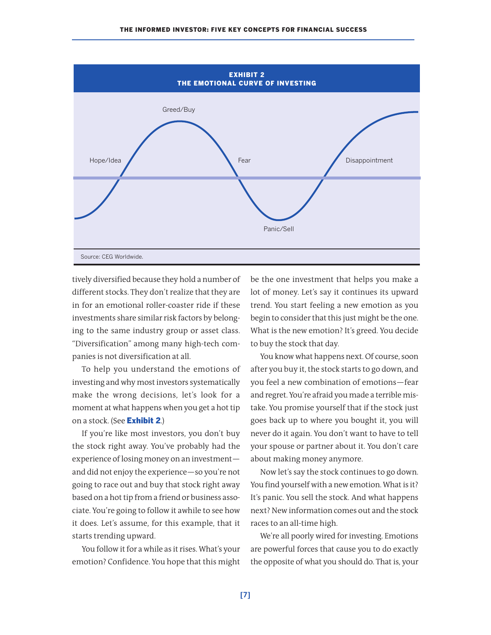

tively diversified because they hold a number of different stocks. They don't realize that they are in for an emotional roller-coaster ride if these investments share similar risk factors by belonging to the same industry group or asset class. "Diversification" among many high-tech companies is not diversification at all.

To help you understand the emotions of investing and why most investors systematically make the wrong decisions, let's look for a moment at what happens when you get a hot tip on a stock. (See **Exhibit 2**.)

If you're like most investors, you don't buy the stock right away. You've probably had the experience of losing money on an investmentand did not enjoy the experience—so you're not going to race out and buy that stock right away based on a hot tip from a friend or business associate. You're going to follow it awhile to see how it does. Let's assume, for this example, that it starts trending upward.

You follow it for a while as it rises. What's your emotion? Confidence. You hope that this might be the one investment that helps you make a lot of money. Let's say it continues its upward trend. You start feeling a new emotion as you begin to consider that this just might be the one. What is the new emotion? It's greed. You decide to buy the stock that day.

You know what happens next. Of course, soon after you buy it, the stock starts to go down, and you feel a new combination of emotions—fear and regret. You're afraid you made a terrible mistake. You promise yourself that if the stock just goes back up to where you bought it, you will never do it again. You don't want to have to tell your spouse or partner about it. You don't care about making money anymore.

Now let's say the stock continues to go down. You find yourself with a new emotion. What is it? It's panic. You sell the stock. And what happens next? New information comes out and the stock races to an all-time high.

We're all poorly wired for investing. Emotions are powerful forces that cause you to do exactly the opposite of what you should do. That is, your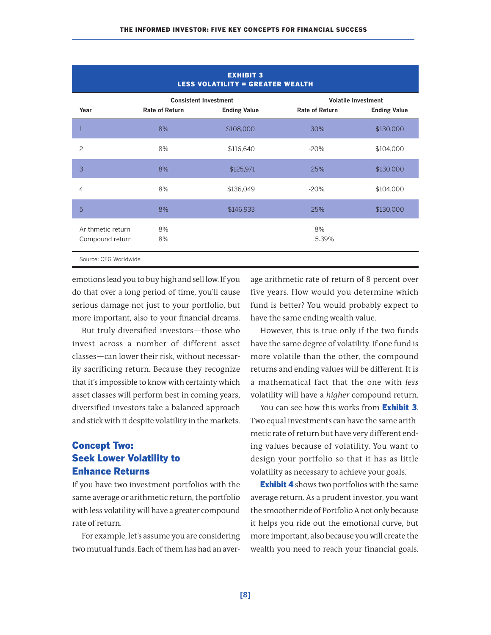| <b>EXHIBIT 3</b><br><b>LESS VOLATILITY = GREATER WEALTH</b> |                                                                              |           |                                                                            |           |  |
|-------------------------------------------------------------|------------------------------------------------------------------------------|-----------|----------------------------------------------------------------------------|-----------|--|
| Year                                                        | <b>Consistent Investment</b><br><b>Rate of Return</b><br><b>Ending Value</b> |           | <b>Volatile Investment</b><br><b>Rate of Return</b><br><b>Ending Value</b> |           |  |
|                                                             | 8%                                                                           | \$108,000 | 30%                                                                        | \$130,000 |  |
| $\overline{c}$                                              | 8%                                                                           | \$116,640 | $-20%$                                                                     | \$104,000 |  |
| 3                                                           | 8%                                                                           | \$125,971 | 25%                                                                        | \$130,000 |  |
| 4                                                           | 8%                                                                           | \$136,049 | $-20%$                                                                     | \$104,000 |  |
| 5                                                           | 8%                                                                           | \$146,933 | 25%                                                                        | \$130,000 |  |
| Arithmetic return<br>Compound return                        | 8%<br>8%                                                                     |           | 8%<br>5.39%                                                                |           |  |
| Source: CEG Worldwide.                                      |                                                                              |           |                                                                            |           |  |

emotions lead you to buy high and sell low. If you do that over a long period of time, you'll cause serious damage not just to your portfolio, but more important, also to your financial dreams.

But truly diversified investors—those who invest across a number of different asset classes—can lower their risk, without necessarily sacrificing return. Because they recognize that it's impossible to know with certainty which asset classes will perform best in coming years, diversified investors take a balanced approach and stick with it despite volatility in the markets.

## **Concept Two: Seek Lower Volatility to Enhance Returns**

If you have two investment portfolios with the same average or arithmetic return, the portfolio with less volatility will have a greater compound rate of return.

For example, let's assume you are considering two mutual funds. Each of them has had an aver-

age arithmetic rate of return of 8 percent over five years. How would you determine which fund is better? You would probably expect to have the same ending wealth value.

However, this is true only if the two funds have the same degree of volatility. If one fund is more volatile than the other, the compound returns and ending values will be different. It is a mathematical fact that the one with *less* volatility will have a *higher* compound return.

You can see how this works from **Exhibit 3**. Two equal investments can have the same arithmetic rate of return but have very different ending values because of volatility. You want to design your portfolio so that it has as little volatility as necessary to achieve your goals.

**Exhibit 4** shows two portfolios with the same average return. As a prudent investor, you want the smoother ride of Portfolio A not only because it helps you ride out the emotional curve, but more important, also because you will create the wealth you need to reach your financial goals.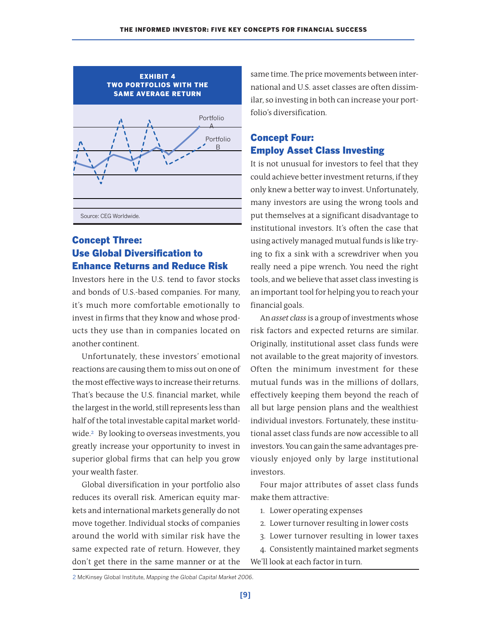

## **Concept Three: Use Global Diversification to Enhance Returns and Reduce Risk**

Investors here in the U.S. tend to favor stocks and bonds of U.S.-based companies. For many, it's much more comfortable emotionally to invest in firms that they know and whose products they use than in companies located on another continent.

Unfortunately, these investors' emotional reactions are causing them to miss out on one of the most effective ways to increase their returns. That's because the U.S. financial market, while the largest in the world, still represents less than half of the total investable capital market worldwide. <sup>2</sup> By looking to overseas investments, you greatly increase your opportunity to invest in superior global firms that can help you grow your wealth faster.

Global diversification in your portfolio also reduces its overall risk. American equity markets and international markets generally do not move together. Individual stocks of companies around the world with similar risk have the same expected rate of return. However, they don't get there in the same manner or at the same time. The price movements between international and U.S. asset classes are often dissimilar, so investing in both can increase your portfolio's diversification.

## **Concept Four: Employ Asset Class Investing**

It is not unusual for investors to feel that they could achieve better investment returns, if they only knew a better way to invest. Unfortunately, many investors are using the wrong tools and put themselves at a significant disadvantage to institutional investors. It's often the case that using actively managed mutual funds is like trying to fix a sink with a screwdriver when you really need a pipe wrench. You need the right tools, and we believe that asset class investing is an important tool for helping you to reach your financial goals.

An *asset class* is a group of investments whose risk factors and expected returns are similar. Originally, institutional asset class funds were not available to the great majority of investors. Often the minimum investment for these mutual funds was in the millions of dollars, effectively keeping them beyond the reach of all but large pension plans and the wealthiest individual investors. Fortunately, these institutional asset class funds are now accessible to all investors. You can gain the same advantages previously enjoyed only by large institutional investors.

Four major attributes of asset class funds make them attractive:

- 1. Lower operating expenses
- 2. Lower turnover resulting in lower costs
- 3. Lower turnover resulting in lower taxes
- 4. Consistently maintained market segments We'll look at each factor in turn.

2 McKinsey Global Institute, *Mapping the Global Capital Market 2006*.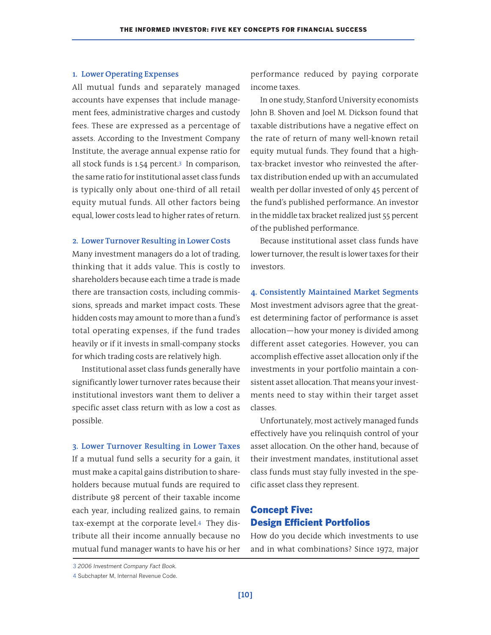### **1. Lower Operating Expenses**

All mutual funds and separately managed accounts have expenses that include management fees, administrative charges and custody fees. These are expressed as a percentage of assets. According to the Investment Company Institute, the average annual expense ratio for all stock funds is 1.54 percent. <sup>3</sup> In comparison, the same ratio for institutional asset class funds is typically only about one-third of all retail equity mutual funds. All other factors being equal, lower costs lead to higher rates of return.

#### **2. Lower Turnover Resulting in Lower Costs**

Many investment managers do a lot of trading, thinking that it adds value. This is costly to shareholders because each time a trade is made there are transaction costs, including commissions, spreads and market impact costs. These hidden costs may amount to more than a fund's total operating expenses, if the fund trades heavily or if it invests in small-company stocks for which trading costs are relatively high.

Institutional asset class funds generally have significantly lower turnover rates because their institutional investors want them to deliver a specific asset class return with as low a cost as possible.

**3. Lower Turnover Resulting in Lower Taxes** If a mutual fund sells a security for a gain, it must make a capital gains distribution to shareholders because mutual funds are required to distribute 98 percent of their taxable income each year, including realized gains, to remain tax-exempt at the corporate level. <sup>4</sup> They distribute all their income annually because no mutual fund manager wants to have his or her performance reduced by paying corporate income taxes.

In one study, Stanford University economists John B. Shoven and Joel M. Dickson found that taxable distributions have a negative effect on the rate of return of many well-known retail equity mutual funds. They found that a hightax-bracket investor who reinvested the aftertax distribution ended up with an accumulated wealth per dollar invested of only 45 percent of the fund's published performance. An investor in the middle tax bracket realized just 55 percent of the published performance.

Because institutional asset class funds have lower turnover, the result is lower taxes for their investors.

**4. Consistently Maintained Market Segments** Most investment advisors agree that the greatest determining factor of performance is asset allocation—how your money is divided among different asset categories. However, you can accomplish effective asset allocation only if the investments in your portfolio maintain a consistent asset allocation. That means your investments need to stay within their target asset classes.

Unfortunately, most actively managed funds effectively have you relinquish control of your asset allocation. On the other hand, because of their investment mandates, institutional asset class funds must stay fully invested in the specific asset class they represent.

### **Concept Five: Design Efficient Portfolios**

How do you decide which investments to use and in what combinations? Since 1972, major

<sup>3</sup> *2006 Investment Company Fact Book.*

<sup>4</sup> Subchapter M, Internal Revenue Code.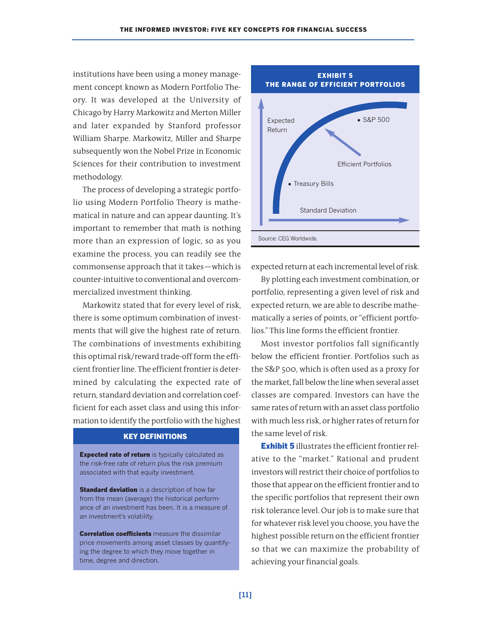institutions have been using a money management concept known as Modern Portfolio Theory. It was developed at the University of Chicago by Harry Markowitz and Merton Miller and later expanded by Stanford professor William Sharpe. Markowitz, Miller and Sharpe subsequently won the Nobel Prize in Economic Sciences for their contribution to investment methodology.

The process of developing a strategic portfolio using Modern Portfolio Theory is mathematical in nature and can appear daunting. It's important to remember that math is nothing more than an expression of logic, so as you examine the process, you can readily see the commonsense approach that it takes—which is counter-intuitive to conventional and overcommercialized investment thinking.

Markowitz stated that for every level of risk, there is some optimum combination of investments that will give the highest rate of return. The combinations of investments exhibiting this optimal risk/reward trade-off form the efficient frontier line. The efficient frontier is determined by calculating the expected rate of return, standard deviation and correlation coefficient for each asset class and using this information to identify the portfolio with the highest

### **KEY DEFINITIONS**

**Expected rate of return** is typically calculated as the risk-free rate of return plus the risk premium associated with that equity investment.

**Standard deviation** is a description of how far from the mean (average) the historical performance of an investment has been. It is a measure of an investment's volatility.

**Correlation coefficients** measure the dissimilar price movements among asset classes by quantifying the degree to which they move together in time, degree and direction.



expected return at each incremental level of risk.

By plotting each investment combination, or portfolio, representing a given level of risk and expected return, we are able to describe mathematically a series of points, or "efficient portfolios." This line forms the efficient frontier.

Most investor portfolios fall significantly below the efficient frontier. Portfolios such as the S&P 500, which is often used as a proxy for the market, fall below the line when several asset classes are compared. Investors can have the same rates of return with an asset class portfolio with much less risk, or higher rates of return for the same level ofrisk.

**Exhibit 5** illustrates the efficient frontier relative to the "market." Rational and prudent investors will restrict their choice of portfolios to those that appear on the efficient frontier and to the specific portfolios that represent their own risk tolerance level. Our job is to make sure that for whatever risk level you choose, you have the highest possible return on the efficient frontier so that we can maximize the probability of achieving your financial goals.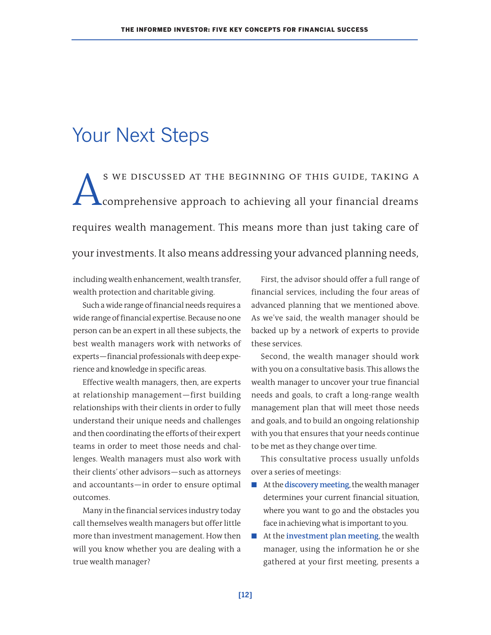# Your Next Steps

S WE DISCUSSED AT THE BEGINNING OF THIS GUIDE, TAKING A<br>comprehensive approach to achieving all your financial dreams comprehensive approach to achieving all your financial dreams requires wealth management. This means more than just taking care of your investments. It also means addressing your advanced planning needs,

including wealth enhancement, wealth transfer, wealth protection and charitable giving.

Such a wide range of financial needs requires a wide range of financial expertise. Because no one person can be an expert in all these subjects, the best wealth managers work with networks of experts-financial professionals with deep experience and knowledge in specific areas.

Effective wealth managers, then, are experts at relationship management—first building relationships with their clients in order to fully understand their unique needs and challenges and then coordinating the efforts of their expert teams in order to meet those needs and challenges. Wealth managers must also work with their clients' other advisors—such as attorneys and accountants—in order to ensure optimal outcomes.

Many in the financial services industry today call themselves wealth managers but offerlittle more than investment management. How then will you know whether you are dealing with a true wealth manager?

First, the advisor should offer a full range of financial services, including the four areas of advanced planning that we mentioned above. As we've said, the wealth manager should be backed up by a network of experts to provide these services.

Second, the wealth manager should work with you on a consultative basis. This allows the wealth manager to uncover your true financial needs and goals, to craft a long-range wealth management plan that will meet those needs and goals, and to build an ongoing relationship with you that ensures that your needs continue to be met as they change over time.

This consultative process usually unfolds over a series of meetings:

- At the **discovery meeting**, the wealth manager determines your current financial situation, where you want to go and the obstacles you face in achieving what is important to you.
- At the **investment** plan meeting, the wealth manager, using the information he or she gathered at your first meeting, presents a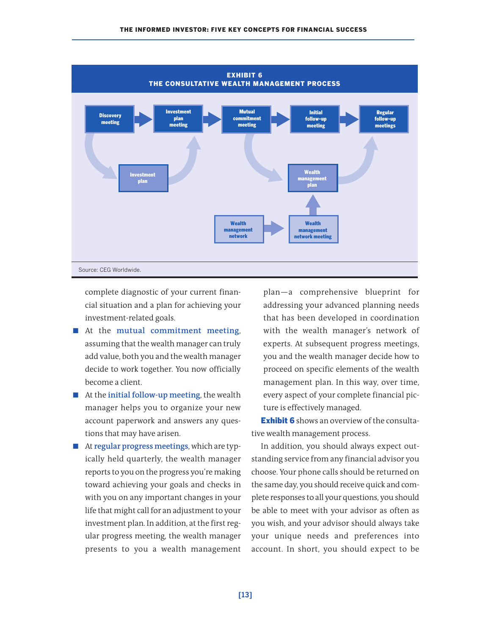

complete diagnostic of your current financial situation and a plan for achieving your investment-related goals.

- At the **mutual commitment** meeting, assuming that the wealth manager can truly add value, both you and the wealth manager decide to work together. You now officially become a client.
- At the **initial follow-up** meeting, the wealth manager helps you to organize your new account paperwork and answers any questions that may have arisen.
- At **regular progress meetings**, which are typically held quarterly, the wealth manager reports to you on the progress you're making toward achieving your goals and checks in with you on any important changes in your life that might call for an adjustment to your investment plan. In addition, at the first regular progress meeting, the wealth manager presents to you a wealth management

plan—a comprehensive blueprint for addressing your advanced planning needs that has been developed in coordination with the wealth manager's network of experts. At subsequent progress meetings, you and the wealth manager decide how to proceed on specific elements of the wealth management plan. In this way, over time, every aspect of your complete financial picture is effectively managed.

**Exhibit 6** shows an overview of the consultative wealth management process.

In addition, you should always expect outstanding service from any financial advisor you choose. Your phone calls should be returned on the same day, you should receive quick and complete responses to all your questions, you should be able to meet with your advisor as often as you wish, and your advisor should always take your unique needs and preferences into account. In short, you should expect to be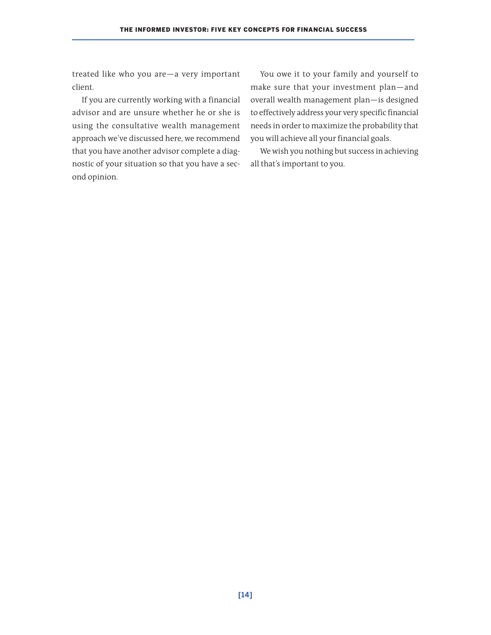treated like who you are—a very important client.

If you are currently working with a financial advisor and are unsure whether he or she is using the consultative wealth management approach we've discussed here, we recommend that you have another advisor complete a diagnostic of your situation so that you have a second opinion.

You owe it to your family and yourself to make sure that your investment plan—and overall wealth management plan—is designed to effectively address your very specific financial needs in order to maximize the probability that you will achieve all your financial goals.

We wish you nothing but success in achieving all that's important to you.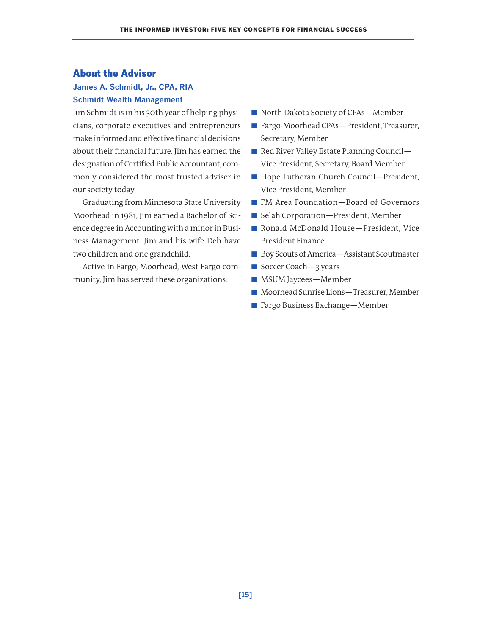### **About the Advisor**

### **James A. Schmidt, Jr., CPA, RIA Schmidt Wealth Management**

Jim Schmidt is in his 30th year of helping physicians, corporate executives and entrepreneurs make informed and effective financial decisions about their financial future. Jim has earned the designation of Certified Public Accountant, commonly considered the most trusted adviser in our society today.

Graduating from Minnesota State University Moorhead in 1981, Jim earned a Bachelor of Science degree in Accounting with a minor in Business Management. Jim and his wife Deb have two children and one grandchild.

Active in Fargo, Moorhead, West Fargo community, Jim has served these organizations:

- North Dakota Society of CPAs-Member
- Fargo-Moorhead CPAs-President, Treasurer, Secretary, Member
- Red River Valley Estate Planning Council– Vice President, Secretary, Board Member
- Hope Lutheran Church Council—President, Vice President, Member
- FM Area Foundation–Board of Governors
- Selah Corporation-President, Member
- Ronald McDonald House-President, Vice President Finance
- Boy Scouts of America—Assistant Scoutmaster
- Soccer Coach-3 years
- MSUM Jaycees-Member
- Moorhead Sunrise Lions-Treasurer, Member
- Fargo Business Exchange—Member